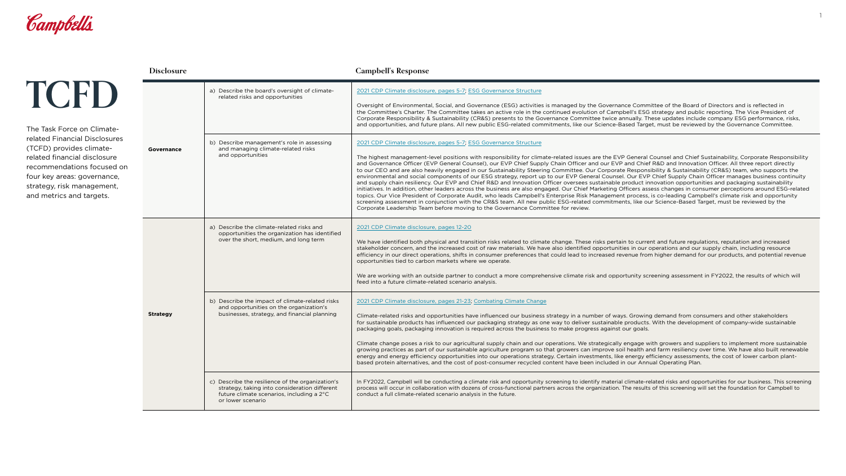

**TCFD**

|  | <b>Disclosure</b> |                                                                                                                                                                     | <b>Campbell's Response</b>                                                                                                                                                                                                                                                                                                                                                                                                                                               |
|--|-------------------|---------------------------------------------------------------------------------------------------------------------------------------------------------------------|--------------------------------------------------------------------------------------------------------------------------------------------------------------------------------------------------------------------------------------------------------------------------------------------------------------------------------------------------------------------------------------------------------------------------------------------------------------------------|
|  | <b>Governance</b> | a) Describe the board's oversight of climate-<br>related risks and opportunities                                                                                    | 2021 CDP Climate disclosure, pages 5-7, ES<br>Oversight of Environmental, Social, and Gov<br>the Committee's Charter. The Committee ta<br>Corporate Responsibility & Sustainability (C<br>and opportunities, and future plans. All new                                                                                                                                                                                                                                   |
|  |                   | b) Describe management's role in assessing<br>and managing climate-related risks<br>and opportunities                                                               | 2021 CDP Climate disclosure, pages 5-7, ES<br>The highest management-level positions wi<br>and Governance Officer (EVP General Coun<br>to our CEO and are also heavily engaged in<br>environmental and social components of ou<br>and supply chain resiliency. Our EVP and Ch<br>initiatives. In addition, other leaders across<br>topics. Our Vice President of Corporate Aud<br>screening assessment in conjunction with th<br>Corporate Leadership Team before moving |
|  |                   | a) Describe the climate-related risks and<br>opportunities the organization has identified<br>over the short, medium, and long term                                 | 2021 CDP Climate disclosure, pages 12-20<br>We have identified both physical and transit<br>stakeholder concern, and the increased cost<br>efficiency in our direct operations, shifts in<br>opportunities tied to carbon markets where<br>We are working with an outside partner to<br>feed into a future climate-related scenario a                                                                                                                                    |
|  | <b>Strategy</b>   | b) Describe the impact of climate-related risks<br>and opportunities on the organization's<br>businesses, strategy, and financial planning                          | 2021 CDP Climate disclosure, pages 21-23, C<br>Climate-related risks and opportunities have<br>for sustainable products has influenced our<br>packaging goals, packaging innovation is re<br>Climate change poses a risk to our agricultu<br>growing practices as part of our sustainable<br>energy and energy efficiency opportunities<br>based protein alternatives, and the cost of p                                                                                 |
|  |                   | c) Describe the resilience of the organization's<br>strategy, taking into consideration different<br>future climate scenarios, including a 2°C<br>or lower scenario | In FY2022, Campbell will be conducting a clir<br>process will occur in collaboration with dozer<br>conduct a full climate-related scenario analys                                                                                                                                                                                                                                                                                                                        |

### **G Governance Structure**

vernance (ESG) activities is managed by the Governance Committee of the Board of Directors and is reflected in kes an active role in the continued evolution of Campbell's ESG strategy and public reporting. The Vice President of CR&S) presents to the Governance Committee twice annually. These updates include company ESG performance, risks, r public ESG-related commitments, like our Science-Based Target, must be reviewed by the Governance Committee.

#### G Governance Structure

ith responsibility for climate-related issues are the EVP General Counsel and Chief Sustainability, Corporate Responsibility isel), our EVP Chief Supply Chain Officer and our EVP and Chief R&D and Innovation Officer. All three report directly our Sustainability Steering Committee. Our Corporate Responsibility & Sustainability (CR&S) team, who supports the ar ESG strategy, report up to our EVP General Counsel. Our EVP Chief Supply Chain Officer manages business continuity hief R&D and Innovation Officer oversees sustainable product innovation opportunities and packaging sustainability the business are also engaged. Our Chief Marketing Officers assess changes in consumer perceptions around ESG-related dit, who leads Campbell's Enterprise Risk Management process, is co-leading Campbell's climate risk and opportunity ne CR&S team. All new public ESG-related commitments, like our Science-Based Target, must be reviewed by the to the Governance Committee for review.

tion risks related to climate change. These risks pertain to current and future regulations, reputation and increased t of raw materials. We have also identified opportunities in our operations and our supply chain, including resource consumer preferences that could lead to increased revenue from higher demand for our products, and potential revenue we operate.

conduct a more comprehensive climate risk and opportunity screening assessment in FY2022, the results of which will a nalysis.

#### **2021 [Combating Climate Change](https://www.campbellsoupcompany.com/2022CorporateResponsibilityReport)**

e influenced our business strategy in a number of ways. Growing demand from consumers and other stakeholders packaging strategy as one way to deliver sustainable products. With the development of company-wide sustainable equired across the business to make progress against our goals.

Iral supply chain and our operations. We strategically engage with growers and suppliers to implement more sustainable e agriculture program so that growers can improve soil health and farm resiliency over time. We have also built renewable into our operations strategy. Certain investments, like energy efficiency assessments, the cost of lower carbon plantbast-consumer recycled content have been included in our Annual Operating Plan.

mate risk and opportunity screening to identify material climate-related risks and opportunities for our business. This screening ns of cross-functional partners across the organization. The results of this screening will set the foundation for Campbell to  $s$  is in the future.

The Task Force on Climaterelated Financial Disclosures (TCFD) provides climaterelated financial disclosure recommendations focused on four key areas: governance, strategy, risk management, and metrics and targets.